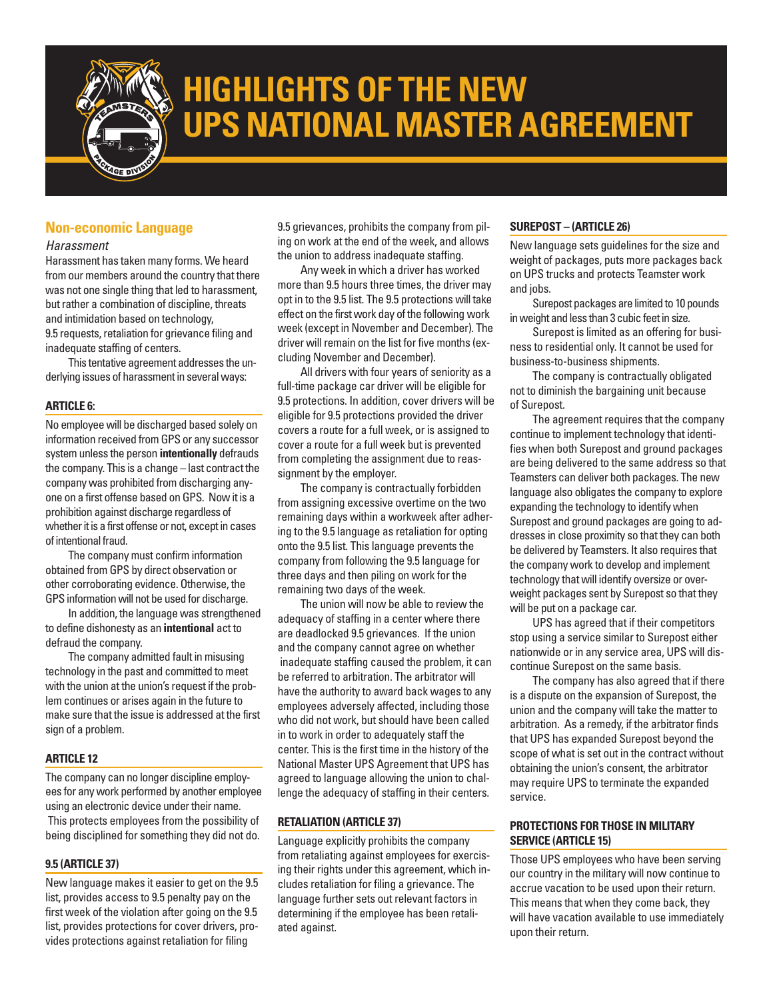

# **HIGHLIGHTS OF THE NEW UPS NATIONAL MASTER AGREEMENT**

## **Non-economic Language**

#### *Harassment*

Harassment has taken many forms. We heard from our members around the country that there was not one single thing that led to harassment, but rather a combination of discipline, threats and intimidation based on technology, 9.5 requests, retaliation for grievance filing and inadequate staffing of centers.

This tentative agreement addresses the underlying issues of harassment in several ways:

#### **ARTICLE 6:**

No employee will be discharged based solely on information received from GPS or any successor system unless the person **intentionally** defrauds the company. This is a change – last contract the company was prohibited from discharging anyone on a first offense based onGPS. Now it is a prohibition against discharge regardless of whether it is a first offense or not, except in cases of intentional fraud.

The company must confirm information obtained from GPS by direct observation or other corroborating evidence. Otherwise, the GPS information will not be used for discharge.

In addition, the language was strengthened to define dishonesty as an **intentional** act to defraud the company.

The company admitted fault in misusing technology in the past and committed to meet with the union at the union's request if the problem continues or arises again in the future to make sure that the issue is addressed at the first sign of a problem.

#### **ARTICLE 12**

The company can no longer discipline employees for any work performed by another employee using an electronic device under their name. This protects employees from the possibility of being disciplined for something they did not do.

#### **9.5 (ARTICLE 37)**

New language makes it easier to get on the 9.5 list, provides access to 9.5 penalty pay on the first week of the violation after going on the 9.5 list, provides protections for cover drivers, provides protections against retaliation for filing

9.5 grievances, prohibits the company from piling on work at the end of the week, and allows the union to address inadequate staffing.

Any week in which a driver has worked more than 9.5 hours three times, the driver may opt in to the 9.5 list. The 9.5 protections will take effect on the first work day of the following work week (except in November and December). The driver will remain on the list for five months (excluding November and December).

All drivers with four years of seniority as a full-time package car driver will be eligible for 9.5 protections. In addition, cover drivers will be eligible for 9.5 protections provided the driver covers a route for a full week, or is assigned to cover a route for a full week but is prevented from completing the assignment due to reassignment by the employer.

The company is contractually forbidden from assigning excessive overtime on the two remaining days within a workweek after adhering to the 9.5 language as retaliation for opting onto the 9.5 list. This language prevents the company from following the 9.5 language for three days and then piling on work for the remaining two days of the week.

The union will now be able to review the adequacy of staffing in a center where there are deadlocked 9.5 grievances. If the union and the company cannot agree on whether inadequate staffing caused the problem, it can be referred to arbitration. The arbitrator will have the authority to award back wages to any employees adversely affected, including those who did not work, but should have been called in to work in order to adequately staff the center. This is the first time in the history of the National Master UPS Agreement that UPS has agreed to language allowing the union to challenge the adequacy of staffing in their centers.

## **RETALIATION (ARTICLE 37)**

Language explicitly prohibits the company from retaliating against employees for exercising their rights under this agreement, which includes retaliation for filing a grievance. The language further sets out relevant factors in determining if the employee has been retaliated against.

#### **SUREPOST – (ARTICLE 26)**

New language sets guidelines for the size and weight of packages, puts more packages back on UPS trucks and protects Teamster work and jobs.

Surepost packages are limited to 10 pounds in weight and less than 3 cubic feet in size.

Surepost is limited as an offering for business to residential only. It cannot be used for business-to-business shipments.

The company is contractually obligated not to diminish the bargaining unit because of Surepost.

The agreement requires that the company continue to implement technology that identifies when both Surepost and ground packages are being delivered to the same address so that Teamsters can deliver both packages. The new language also obligates the company to explore expanding the technology to identify when Surepost and ground packages are going to addresses in close proximity so that they can both be delivered by Teamsters. It also requires that the company work to develop and implement technology that will identify oversize or overweight packages sent by Surepost so that they will be put on a package car.

UPS has agreed that if their competitors stop using a service similar to Surepost either nationwide or in any service area, UPS will discontinue Surepost on the same basis.

The company has also agreed that if there is a dispute on the expansion of Surepost, the union and the company will take the matter to arbitration. As a remedy, if the arbitrator finds that UPS has expanded Surepost beyond the scope of what is set out in the contract without obtaining the union's consent, the arbitrator may require UPS to terminate the expanded service.

## **PROTECTIONS FOR THOSE IN MILITARY SERVICE (ARTICLE 15)**

Those UPS employees who have been serving our country in the military will now continue to accrue vacation to be used upon their return. This means that when they come back, they will have vacation available to use immediately upon their return.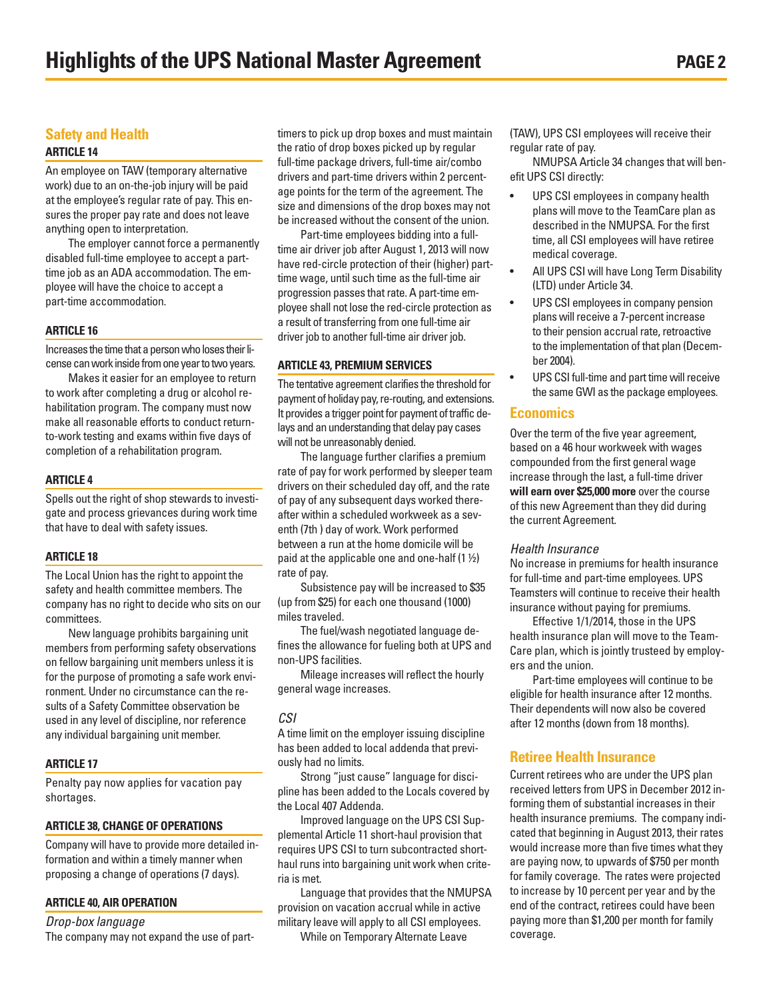# **Safety and Health**

## **ARTICLE 14**

An employee on TAW (temporary alternative work) due to an on-the-job injury will be paid at the employee's regular rate of pay. This ensures the proper pay rate and does not leave anything open to interpretation.

The employer cannot force a permanently disabled full-time employee to accept a parttime job as an ADA accommodation. The employee will have the choice to accept a part-time accommodation.

#### **ARTICLE 16**

Increases the time that a person who loses their license can work inside from one year to two years.

Makes it easier for an employee to return to work after completing a drug or alcohol rehabilitation program. The company must now make all reasonable efforts to conduct returnto-work testing and exams within five days of completion of a rehabilitation program.

#### **ARTICLE 4**

Spells out the right of shop stewards to investigate and process grievances during work time that have to deal with safety issues.

#### **ARTICLE 18**

The Local Union has the right to appoint the safety and health committee members. The company has no right to decide who sits on our committees.

New language prohibits bargaining unit members from performing safety observations on fellow bargaining unit members unless it is for the purpose of promoting a safe work environment. Under no circumstance can the results of a Safety Committee observation be used in any level of discipline, nor reference any individual bargaining unit member.

## **ARTICLE 17**

Penalty pay now applies for vacation pay shortages.

#### **ARTICLE 38, CHANGE OF OPERATIONS**

Company will have to provide more detailed information and within a timely manner when proposing a change of operations (7 days).

#### **ARTICLE 40, AIR OPERATION**

*Drop-box language*

The company may not expand the use of part-

timers to pick up drop boxes and must maintain the ratio of drop boxes picked up by regular full-time package drivers, full-time air/combo drivers and part-time drivers within 2 percentage points for the term of the agreement. The size and dimensions of the drop boxes may not be increased without the consent of the union.

Part-time employees bidding into a fulltime air driver job after August 1, 2013 will now have red-circle protection of their (higher) parttime wage, until such time as the full-time air progression passes that rate. A part-time employee shall not lose the red-circle protection as a result of transferring from one full-time air driver job to another full-time air driver job.

#### **ARTICLE 43, PREMIUM SERVICES**

The tentative agreement clarifies the threshold for payment of holiday pay, re-routing, and extensions. It provides a trigger point for payment of traffic delays and an understanding that delay pay cases will not be unreasonably denied.

The language further clarifies a premium rate of pay for work performed by sleeper team drivers on their scheduled day off, and the rate of pay of any subsequent days worked thereafter within a scheduled workweek as a seventh (7th ) day of work. Work performed between a run at the home domicile will be paid at the applicable one and one-half  $(1 \frac{1}{2})$ rate of pay.

Subsistence pay will be increased to \$35 (up from \$25) for each one thousand (1000) miles traveled.

The fuel/wash negotiated language defines the allowance for fueling both at UPS and non-UPS facilities.

Mileage increases will reflect the hourly general wage increases.

#### *CSI*

A time limit on the employer issuing discipline has been added to local addenda that previously had no limits.

Strong "just cause" language for discipline has been added to the Locals covered by the Local 407 Addenda.

Improved language on the UPS CSI Supplemental Article 11 short-haul provision that requires UPS CSI to turn subcontracted shorthaul runs into bargaining unit work when criteria is met.

Language that provides that the NMUPSA provision on vacation accrual while in active military leave will apply to all CSI employees.

While on Temporary Alternate Leave

(TAW), UPS CSI employees will receive their regular rate of pay.

NMUPSA Article 34 changes that will benefit UPS CSI directly:

- UPS CSI employees in company health plans will move to the TeamCare plan as described in the NMUPSA. For the first time, all CSI employees will have retiree medical coverage.
- All UPS CSI will have Long Term Disability (LTD) under Article 34.
- UPS CSI employees in company pension plans will receive a 7-percent increase to their pension accrual rate, retroactive to the implementation of that plan (December 2004).
- UPS CSI full-time and part time will receive the sameGWI as the package employees.

## **Economics**

Over the term of the five year agreement, based on a 46 hour workweek with wages compounded from the first general wage increase through the last, a full-time driver **will earn over \$25,000 more** over the course of this new Agreement than they did during the current Agreement.

#### *Health Insurance*

No increase in premiums for health insurance for full-time and part-time employees. UPS Teamsters will continue to receive their health insurance without paying for premiums.

Effective 1/1/2014, those in the UPS health insurance plan will move to the Team-Care plan, which is jointly trusteed by employers and the union.

Part-time employees will continue to be eligible for health insurance after 12 months. Their dependents will now also be covered after 12 months (down from 18 months).

## **Retiree Health Insurance**

Current retirees who are under the UPS plan received letters from UPS in December 2012 informing them of substantial increases in their health insurance premiums. The company indicated that beginning in August 2013, their rates would increase more than five times what they are paying now, to upwards of \$750 per month for family coverage. The rates were projected to increase by 10 percent per year and by the end of the contract, retirees could have been paying more than \$1,200 per month for family coverage.